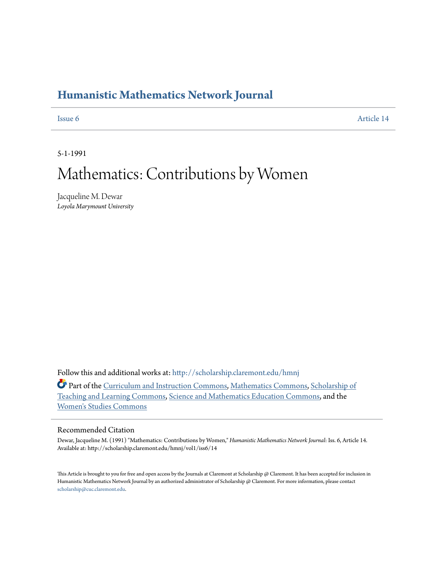## **[Humanistic Mathematics Network Journal](http://scholarship.claremont.edu/hmnj?utm_source=scholarship.claremont.edu%2Fhmnj%2Fvol1%2Fiss6%2F14&utm_medium=PDF&utm_campaign=PDFCoverPages)**

[Issue 6](http://scholarship.claremont.edu/hmnj/vol1/iss6?utm_source=scholarship.claremont.edu%2Fhmnj%2Fvol1%2Fiss6%2F14&utm_medium=PDF&utm_campaign=PDFCoverPages) [Article 14](http://scholarship.claremont.edu/hmnj/vol1/iss6/14?utm_source=scholarship.claremont.edu%2Fhmnj%2Fvol1%2Fiss6%2F14&utm_medium=PDF&utm_campaign=PDFCoverPages)

5-1-1991

# Mathematics: Contributions by Women

Jacqueline M. Dewar *Loyola Marymount University*

Follow this and additional works at: [http://scholarship.claremont.edu/hmnj](http://scholarship.claremont.edu/hmnj?utm_source=scholarship.claremont.edu%2Fhmnj%2Fvol1%2Fiss6%2F14&utm_medium=PDF&utm_campaign=PDFCoverPages)

Part of the [Curriculum and Instruction Commons](http://network.bepress.com/hgg/discipline/786?utm_source=scholarship.claremont.edu%2Fhmnj%2Fvol1%2Fiss6%2F14&utm_medium=PDF&utm_campaign=PDFCoverPages), [Mathematics Commons,](http://network.bepress.com/hgg/discipline/174?utm_source=scholarship.claremont.edu%2Fhmnj%2Fvol1%2Fiss6%2F14&utm_medium=PDF&utm_campaign=PDFCoverPages) [Scholarship of](http://network.bepress.com/hgg/discipline/1328?utm_source=scholarship.claremont.edu%2Fhmnj%2Fvol1%2Fiss6%2F14&utm_medium=PDF&utm_campaign=PDFCoverPages) [Teaching and Learning Commons,](http://network.bepress.com/hgg/discipline/1328?utm_source=scholarship.claremont.edu%2Fhmnj%2Fvol1%2Fiss6%2F14&utm_medium=PDF&utm_campaign=PDFCoverPages) [Science and Mathematics Education Commons](http://network.bepress.com/hgg/discipline/800?utm_source=scholarship.claremont.edu%2Fhmnj%2Fvol1%2Fiss6%2F14&utm_medium=PDF&utm_campaign=PDFCoverPages), and the [Women's Studies Commons](http://network.bepress.com/hgg/discipline/561?utm_source=scholarship.claremont.edu%2Fhmnj%2Fvol1%2Fiss6%2F14&utm_medium=PDF&utm_campaign=PDFCoverPages)

## Recommended Citation

Dewar, Jacqueline M. (1991) "Mathematics: Contributions by Women," *Humanistic Mathematics Network Journal*: Iss. 6, Article 14. Available at: http://scholarship.claremont.edu/hmnj/vol1/iss6/14

This Article is brought to you for free and open access by the Journals at Claremont at Scholarship  $@$  Claremont. It has been accepted for inclusion in Humanistic Mathematics Network Journal by an authorized administrator of Scholarship @ Claremont. For more information, please contact [scholarship@cuc.claremont.edu.](mailto:scholarship@cuc.claremont.edu)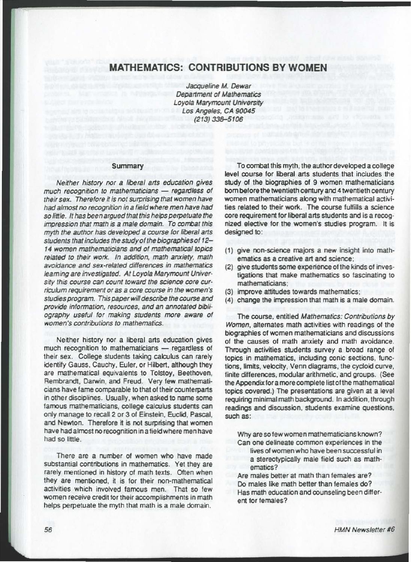## MATHEMATICS: CONTRIBUTIONS BY WOMEN

Jacqueline M. Dewar Department of Mathematics Loyola Marymount University Los Angeles. CA90045 (213) 336-5106

### Summary

Neither history nor a liberal arts education gives  $much$  recognition to mathematicians  $-$  regardless of their sex. Therefore *it* is not surprising that women have had almost no recognition in a field where men have had so little. It has been argued that this helps perpetuate the impression that math is a male domain. To combat this myth the author has developed a course for liberal arts students that includes the study of the biographies of 12-14 women mathematicians and of mathematical topics related to their work. In addition. math anxiety. math avoidance and sex-related differences *in* mathematics learning are investigated. At Loyola Marymount University this course can count toward the science core curriculum requirement or as a core course in the women's studies program. This paper will describe the course and provide information, resources, and an annotated bibliography useful for making students more aware of women's contributions to mathematics.

Neither history nor a liberal arts education gives much recognition to mathematicians - regardless of their sex. College students taking calculus can rarely identify Gauss, Cauchy, Euler, or Hilbert, although they are mathematical equivalents to Tolstoy, Beethoven, Rembrandt, Darwin, and Freud. Very few mathematicians have fame comparable to that ot their counterparts in other disciplines. Usually, when asked to name some famous mathematicians, college calculus students can only manage to recall 2 or 3 of Einstein, Euclid, Pascal, and Newton. Therefore it is not surprising that women have had almost no recognition in a fieldwhere men have had so little.

There are a number of women who have made substantial contributions in mathematics. Yet they are rarely mentioned in history of math texts. Often when they are mentioned, it is for their ron-mathematical activities which involved famous men. That so few women receive credit for their accomplishments in math helps perpetuate the myth that math is a male domain.

To combat this myth, the author developed a college level course for liberal arts students that includes the study of the biographies of 9 women mathematicians born before the twentieth century and 4 twentieth century women mathematicians along with mathematical activi· ties related to their work. The course fulfills a science core requirement for liberal arts students and is a recognized elective for the women's studies program. It is designed to:

- (1) give non-science majors a new insight into mathematics as a creative art and science;
- (2) give students some experience of the kinds of investigations that make mathematics so fascinating to mathematicians:
- (3) improve attitudes towards mathematics;
- (4) change the impression that math is a male domain.

The course, entitled Mathematics: Contributions by Women, alternates math activities with readings of the biographies of women mathematicians and discussions of the causes of math anxiety and math avoidance. Through activities students survey a broad range of topics in mathematics, including conic sections, func· tions, limits, velocity, Venn diagrams, the cycloid curve, finite differences, modular arithmetic, and groups. (See the Appendix for a more complete list of the mathematical topics covered.) The presentations are given at a level requiring minimal math background. In addition, through readings and discussion, students examine questions, such as:

Why are so few women mathematicians known?

Can one delineate common experiences in the lives of women who have been successful in a stereotypically male field such as mathematics?

Are males better at math than females are? Do males like math better than females do? Has math education and counseling been different for females?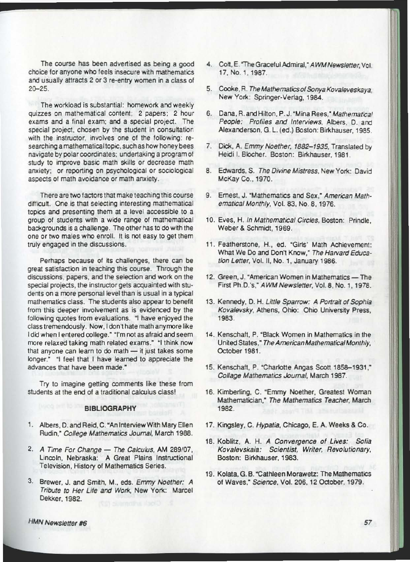The course has been advertised as being a good choice for anyone who feels insecure with mathematics and usually attracts 2 or 3 re-entry women in a class of 20-25.

The workload is substantial: homework and weekly quizzes on mathematical content; 2 papers; 2 hour exams and a final exam; and a special project. The special project, chosen by the student in consultation. with the instructor, involves one of the following: researching a mathematical topic, such as how honey bees navigate by polar coordinates: undertaking a program of study to improve basic math skills or decrease math anxiety; or reporting on psychological or sociological aspects of math avoidance or math anxiety .

There are two factors that make teaching this course difficult. One is that selecting interesting mathematical topics and presenting them at a level accessible to a group of students with a wide range of mathematical backgrounds is a challenge. The other has to do with the one or two males who enroll. It is not easy to get them truly engaged in the discussions.

Perhaps because of its challenges, there can be great satisfaction in teaching this course. Through the discussions, papers, and the selection and work on the special projects, the instructor gets acquainted with students on a more personal level than is usual in a typical mathematics class. The students also appear to benefit from this deeper involvement as is evidenced by the following quotes from evaluations. "I have enjoyed the class tremendously , Now, Idon't hate math anymore like I did when I entered college." "I'm not as afraid and seem more relaxed taking math related exams." "I think now that anyone can learn to do math  $-$  it just takes some longer." "I feel that I have learned to appreciate the advances that have been made.'"

Try to imagine getting comments like these from students at the end of a traditional calculus class!

## BIBLIOGRAPHY

- 1. Albers, D. and Reid, C. "An Interview With Mary Ellen Rudin," College Mathematics Journal, March 1988.
- 2. A Time For Change The Calculus, AM 289/07, Lincoln, Nebraska: A Great Plains Instructional Television, History of Mathematics Series.
- 3. Brewer, J. and Smith, M., eds. Emmy Noether: A Tribute to Her Life and Work, New York: Marcel Dekker, 1982.
- 4. Colt, E. "The Graceful Admiral," AWM Newsletter, Vol. 17, NO. 1, 1987.
- 5. Cooke, R. The Mathematics of Sonya Kovaleveskaya, New York: Springer·Verlag, 1984.
- 6. Dana, A.and Hilton, P. J."Mina Rees,"Mathematical People: Profiles and Interviews, Albers, D. and Alexanderson, G. L. (ed .) Boston: Birkhauser, 1985.
- 7. Dick, A. Emmy Noether, 1882-1935, Translated by Heidi I. Blocher. Boston: Birkhauser. 1981.
- 8. Edwards, S. The Divine Mistress, New York: David McKay Co., 1970.
- 9. Ernest, J. "Mathematics and Sex," American Mathematical Monthly, Vol. 83, No. 8, 1976.
- 10. Eves, H. In Mathematical Circles, Boston: Prindle, Weber & SChmidt, 1969.
- 11. Featherstone, H., ed. "Girls' Math Achievement: What We Do and Don't Know," The Harvard Education Letter, Vol. II, No. 1, January 1986.
- 12. Green, J. "American Women in Mathematics The First Ph.D.'s," AWM Newsletter, Vol. 8, No. 1, 1978.
- 13. Kennedy, D. H. Little Sparrow: A Portrait of Sophia Kovalevsky, Athens, Ohio: Ohio University Press, 1983.
- 14. Kenschatt. P, "Black Women in Mathematics in the United States," The American Mathematical Monthly, October 1981.
- 15. Kenschaft. P. "Charlotte Angas Scott 1858-1931," Collage Mathematics Journal, March 1987.
- 16. Kimberling, C. "Emmy Noether, Greatest Woman Mathematician," The Mathematics Teacher, March 1982.
- 17. Kingsley, C. Hypatia, Chicago. E. A. Weeks & CO.
- 18. Koblitz, A. H. *A* Convergence of Lives: Sofia Kovalevskaia: Scientist, Writer. Revolutionary, Boston: Birkhauser, 1983.
- 19. Kolata,G.B."Cathleen Morawetz: The Mathematics of Waves," Science, Vol. 206, 12 October, 1979.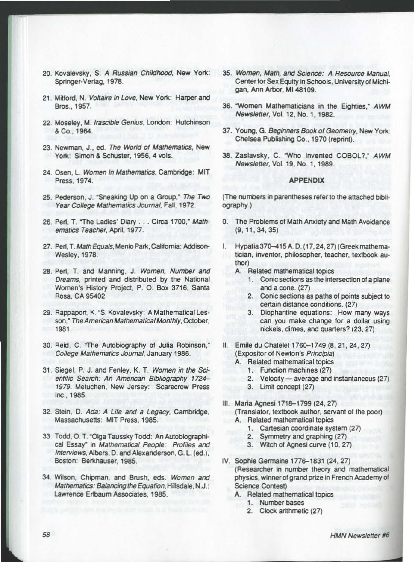- 20. Kovalevsky, S. A Russian Childhood, New York: Springer-Verlag, 1978.
- 21. Mitford, N. Voltaire in Love, New York: Harper and Bros., 1957.
- 22. Moseley, M. Irascible Genius, London: Hutchinson & Co., 1964.
- 23. Newman, J., ed. The World of Mathematics, New York: Simon & Schuster, 1956, 4 vols.
- 24. Osen, L. Women In Mathematics, Cambridge: MIT Press, 1974.
- 25. Pederson, J. "Sneaking Up on a Group," The Two Year College Mathematics Journal, Fall, 1972.
- 26. Perl, T. "The Ladies' Diary . . . Circa 1700," Mathematics Teacher, April, 1977.
- 27. Perl, T. Math Equals, Menlo Park, California: Addison-Wesley, 1978.
- 28. Perl, T. and Manning, J. Women, Number and Dreams, printed and distributed by the National Women's History Project, P. O. Box 3716, Santa Rosa, CA 95402
- 29. Rappaport, K. "S. Kovalevsky: A Mathematical Lesson," The American Mathematical Monthly, October, 1981.
- 30. Reid, C. "The Autobiography of Julia Robinson," College Mathematics Journal, January 1986.
- 31. Siegel, P. J. and Fenley, K. T. Women in the Scientific Search: An American Bibliography 1724-1979. Metuchen, New Jersey: Scarecrow Press Inc., 1985.
- 32. Stein, D. Ada: A Life and a Legacy, Cambridge, Massachusetts: MIT Press, 1985.
- 33. Todd, O. T. "Olga Taussky Todd: An Autobiographical Essay" in Mathematical People: Profiles and Interviews, Albers, D. and Alexanderson, G. L. (ed.), Boston: Berkhauser, 1985.
- 34. Wilson, Chipman, and Brush, eds. Women and Mathematics: Balancing the Equation, Hillsdale, N.J.: Lawrence Erlbaum Associates, 1985.
- 35. Women, Math, and Science: A Resource Manual. Center for Sex Equity in Schools, University of Michigan, Ann Arbor, MI 48109.
- 36. "Women Mathematicians in the Eighties," AWM Newsletter, Vol. 12, No. 1, 1982.
- 37. Young, G. Beginners Book of Geometry, New York: Chelsea Publishing Co., 1970 (reprint).
- 38. Zaslavsky, C. "Who Invented COBOL?." AWM Newsletter, Vol. 19, No. 1, 1989.

### **APPENDIX**

(The numbers in parentheses refer to the attached bibliography.)

- 0. The Problems of Math Anxiety and Math Avoidance  $(9, 11, 34, 35)$
- I. Hypatia 370-415 A.D. (17, 24, 27) (Greek mathematician, inventor, philosopher, teacher, textbook author)
	- A. Related mathematical topics
		- 1. Conic sections as the intersection of a plane and a cone. (27)
		- 2. Conic sections as paths of points subject to certain distance conditions. (27)
		- 3. Diophantine equations: How many ways can you make change for a dollar using nickels, dimes, and quarters? (23, 27)
- II. Emile du Chatelet 1760-1749 (8, 21, 24, 27) (Expositor of Newton's Principia)
	- A. Related mathematical topics
		- 1. Function machines (27)
			- 2. Velocity average and instantaneous (27)
		- 3. Limit concept (27)
- III. Maria Agnesi 1718-1799 (24, 27) (Translator, textbook author, servant of the poor) A. Related mathematical topics
	- 1. Cartesian coordinate system (27)
	- 2. Symmetry and graphing (27)
	- 3. Witch of Agnesi curve (10, 27)
- IV. Sophie Germaine 1776-1831 (24, 27) (Researcher in number theory and mathematical physics, winner of grand prize in French Academy of **Science Contest)** 
	- A. Related mathematical topics
		- 1. Number bases
		- 2. Clock arithmetic (27)